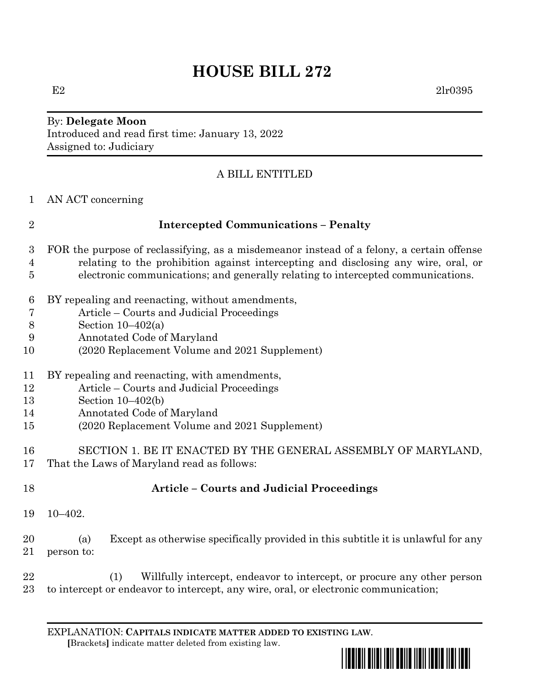# **HOUSE BILL 272**

E2  $2\text{lr}0395$ 

#### By: **Delegate Moon** Introduced and read first time: January 13, 2022 Assigned to: Judiciary

## A BILL ENTITLED

AN ACT concerning

| ı<br>ı |  |  |
|--------|--|--|
|        |  |  |

## **Intercepted Communications – Penalty**

- FOR the purpose of reclassifying, as a misdemeanor instead of a felony, a certain offense relating to the prohibition against intercepting and disclosing any wire, oral, or electronic communications; and generally relating to intercepted communications.
- BY repealing and reenacting, without amendments,
- Article Courts and Judicial Proceedings
- Section 10–402(a)
- Annotated Code of Maryland
- (2020 Replacement Volume and 2021 Supplement)
- BY repealing and reenacting, with amendments,
- Article Courts and Judicial Proceedings
- Section 10–402(b)
- Annotated Code of Maryland
- (2020 Replacement Volume and 2021 Supplement)
- SECTION 1. BE IT ENACTED BY THE GENERAL ASSEMBLY OF MARYLAND, That the Laws of Maryland read as follows:
- **Article – Courts and Judicial Proceedings**
- 10–402.
- (a) Except as otherwise specifically provided in this subtitle it is unlawful for any person to:
- (1) Willfully intercept, endeavor to intercept, or procure any other person to intercept or endeavor to intercept, any wire, oral, or electronic communication;

EXPLANATION: **CAPITALS INDICATE MATTER ADDED TO EXISTING LAW**.  **[**Brackets**]** indicate matter deleted from existing law.